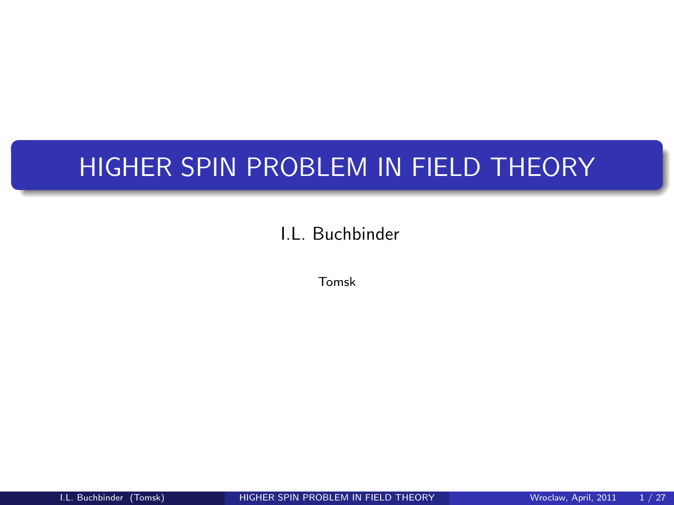# HIGHER SPIN PROBLEM IN FIELD THEORY

## I.L. Buchbinder

<span id="page-0-0"></span>Tomsk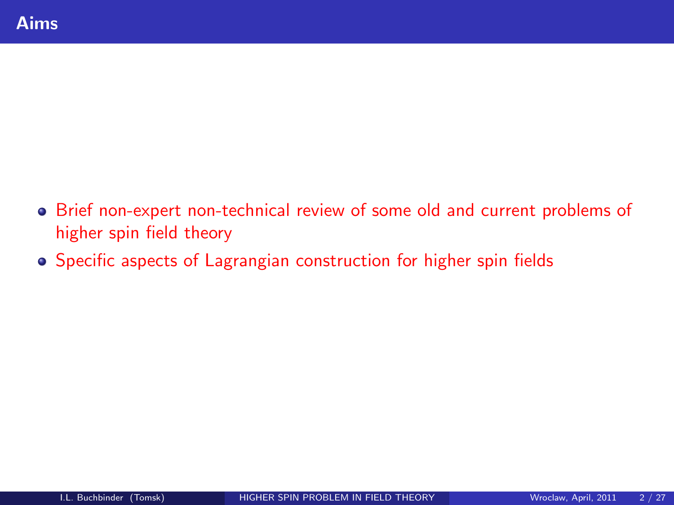- Brief non-expert non-technical review of some old and current problems of higher spin field theory
- **•** Specific aspects of Lagrangian construction for higher spin fields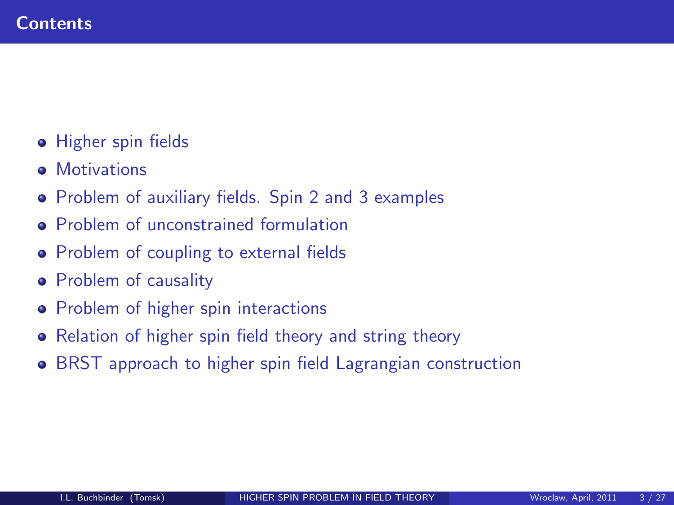- **•** Higher spin fields
- **•** Motivations
- Problem of auxiliary fields. Spin 2 and 3 examples
- **Problem of unconstrained formulation**
- Problem of coupling to external fields
- **•** Problem of causality
- Problem of higher spin interactions
- Relation of higher spin field theory and string theory
- **BRST** approach to higher spin field Lagrangian construction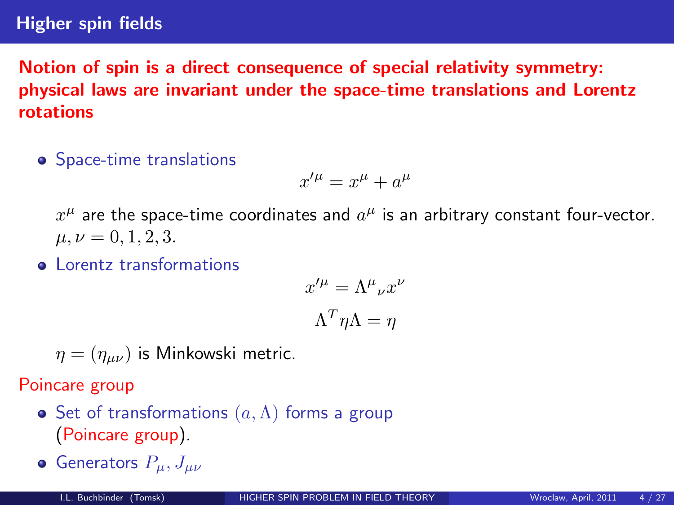#### Higher spin fields

Notion of spin is a direct consequence of special relativity symmetry: physical laws are invariant under the space-time translations and Lorentz rotations

• Space-time translations

$$
x^{\prime \mu} = x^{\mu} + a^{\mu}
$$

 $x^\mu$  are the space-time coordinates and  $a^\mu$  is an arbitrary constant four-vector.  $\mu, \nu = 0, 1, 2, 3.$ 

**Q** Lorentz transformations

$$
x'^{\mu} = \Lambda^{\mu}{}_{\nu} x^{\nu}
$$

$$
\Lambda^{T} \eta \Lambda = \eta
$$

 $\eta = (\eta_{\mu\nu})$  is Minkowski metric.

Poincare group

- Set of transformations  $(a, \Lambda)$  forms a group (Poincare group).
- **•** Generators  $P_{\mu}, J_{\mu\nu}$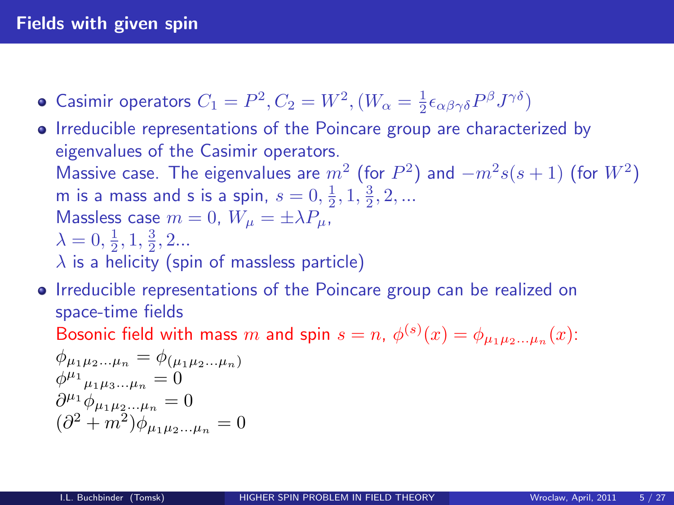#### Fields with given spin

- Casimir operators  $C_1 = P^2, C_2 = W^2, (W_\alpha = \frac{1}{2} \epsilon_{\alpha\beta\gamma\delta} P^\beta J^{\gamma\delta})$
- Irreducible representations of the Poincare group are characterized by eigenvalues of the Casimir operators. Massive case. The eigenvalues are  $m^2$  (for  $P^2$ ) and  $-m^2s(s+1)$  (for  $W^2$ ) m is a mass and s is a spin,  $s = 0, \frac{1}{2}, 1, \frac{3}{2}, 2, ...$ Massless case  $m = 0$ ,  $W_{\mu} = \pm \lambda P_{\mu}$ ,  $\lambda = 0, \frac{1}{2}, 1, \frac{3}{2}, 2...$  $\lambda$  is a helicity (spin of massless particle)
- Irreducible representations of the Poincare group can be realized on space-time fields Bosonic field with mass  $m$  and spin  $s=n$ ,  $\phi^{(s)}(x)=\phi_{\mu_1\mu_2...\mu_n}(x)$ :

$$
\phi_{\mu_1\mu_2...\mu_n} = \phi_{(\mu_1\mu_2...\mu_n)}
$$
  
\n
$$
\phi^{\mu_1}{}_{\mu_1\mu_3...\mu_n} = 0
$$
  
\n
$$
\partial^{\mu_1} \phi_{\mu_1\mu_2...\mu_n} = 0
$$
  
\n
$$
(\partial^2 + m^2) \phi_{\mu_1\mu_2...\mu_n} = 0
$$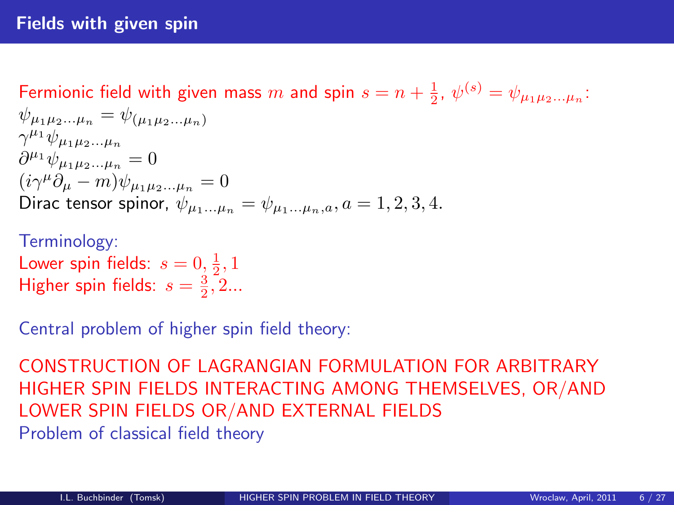# Fermionic field with given mass  $m$  and spin  $s = n + \frac{1}{2}$ ,  $\psi^{(s)} = \psi_{\mu_1 \mu_2 ... \mu_n}$ :

$$
\psi_{\mu_1\mu_2...\mu_n} = \psi_{(\mu_1\mu_2...\mu_n)}\n\gamma^{\mu_1}\psi_{\mu_1\mu_2...\mu_n}\n\partial^{\mu_1}\psi_{\mu_1\mu_2...\mu_n} = 0\n(i\gamma^{\mu}\partial_{\mu} - m)\psi_{\mu_1\mu_2...\mu_n} = 0\nDirac tensor spinor,  $\psi_{\mu_1...\mu_n} = \psi_{\mu_1...\mu_n,a}, a = 1, 2, 3, 4.$
$$

# Terminology: Lower spin fields:  $s = 0, \frac{1}{2}, 1$ Higher spin fields:  $s = \frac{3}{2}, 2...$

Central problem of higher spin field theory:

CONSTRUCTION OF LAGRANGIAN FORMULATION FOR ARBITRARY HIGHER SPIN FIELDS INTERACTING AMONG THEMSELVES, OR/AND LOWER SPIN FIELDS OR/AND EXTERNAL FIELDS Problem of classical field theory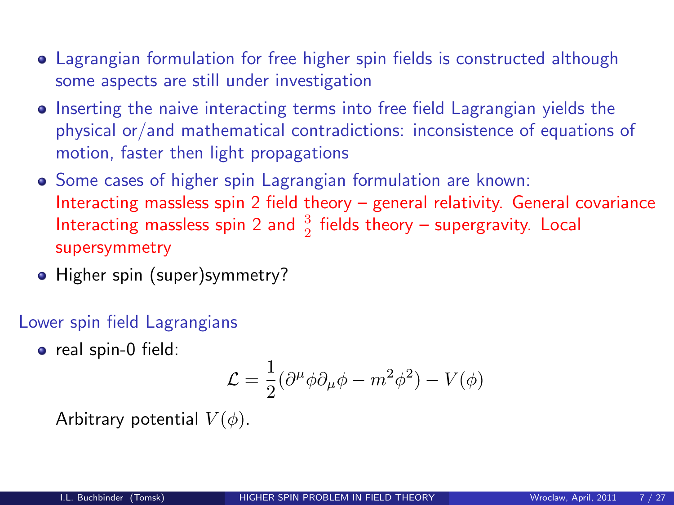- Lagrangian formulation for free higher spin fields is constructed although some aspects are still under investigation
- Inserting the naive interacting terms into free field Lagrangian yields the physical or/and mathematical contradictions: inconsistence of equations of motion, faster then light propagations
- Some cases of higher spin Lagrangian formulation are known: Interacting massless spin 2 field theory – general relativity. General covariance Interacting massless spin 2 and  $\frac{3}{2}$  fields theory – supergravity. Local supersymmetry
- Higher spin (super)symmetry?

Lower spin field Lagrangians

• real spin-0 field:

$$
\mathcal{L} = \frac{1}{2} (\partial^{\mu} \phi \partial_{\mu} \phi - m^2 \phi^2) - V(\phi)
$$

Arbitrary potential  $V(\phi)$ .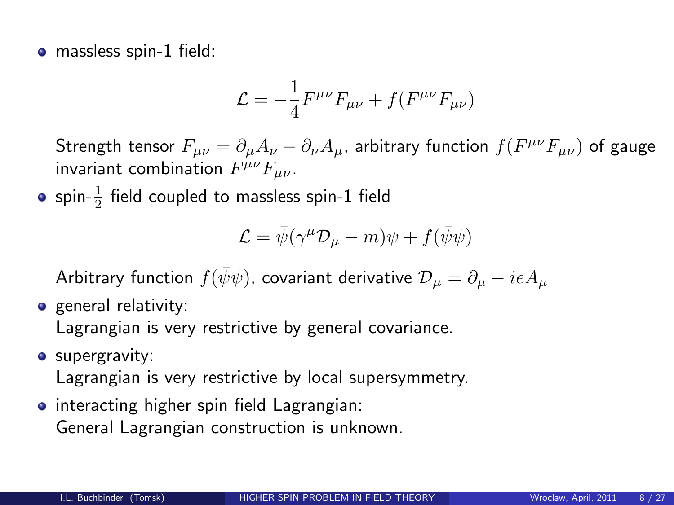• massless spin-1 field:

$$
\mathcal{L} = -\frac{1}{4} F^{\mu\nu} F_{\mu\nu} + f(F^{\mu\nu} F_{\mu\nu})
$$

Strength tensor  $F_{\mu\nu}=\partial_\mu A_\nu-\partial_\nu A_\mu$ , arbitrary function  $f(F^{\mu\nu}F_{\mu\nu})$  of gauge invariant combination  $F^{\mu\nu}F_{\mu\nu}$ .

spin- $\frac{1}{2}$  field coupled to massless spin-1 field

$$
\mathcal{L} = \bar{\psi}(\gamma^{\mu} \mathcal{D}_{\mu} - m)\psi + f(\bar{\psi}\psi)
$$

Arbitrary function  $f(\bar{\psi}\psi)$ , covariant derivative  $\mathcal{D}_{\mu} = \partial_{\mu} - ieA_{\mu}$ 

**o** general relativity:

Lagrangian is very restrictive by general covariance.

**•** supergravity:

Lagrangian is very restrictive by local supersymmetry.

**•** interacting higher spin field Lagrangian: General Lagrangian construction is unknown.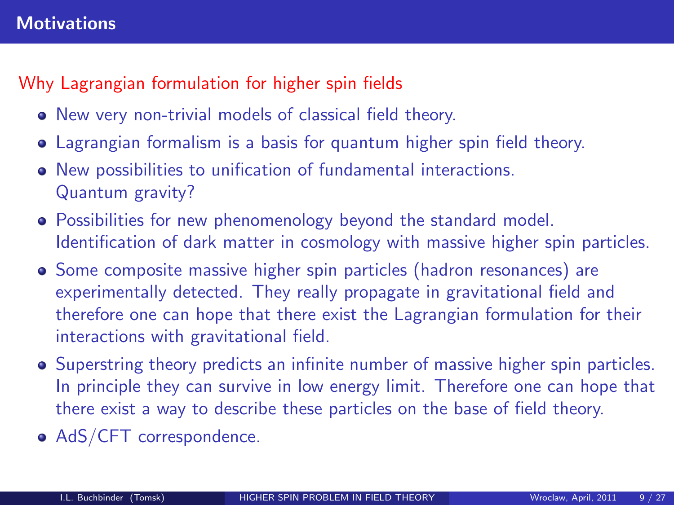#### **Motivations**

# Why Lagrangian formulation for higher spin fields

- New very non-trivial models of classical field theory.
- Lagrangian formalism is a basis for quantum higher spin field theory.
- New possibilities to unification of fundamental interactions. Quantum gravity?
- Possibilities for new phenomenology beyond the standard model. Identification of dark matter in cosmology with massive higher spin particles.
- Some composite massive higher spin particles (hadron resonances) are experimentally detected. They really propagate in gravitational field and therefore one can hope that there exist the Lagrangian formulation for their interactions with gravitational field.
- Superstring theory predicts an infinite number of massive higher spin particles. In principle they can survive in low energy limit. Therefore one can hope that there exist a way to describe these particles on the base of field theory.
- AdS/CFT correspondence.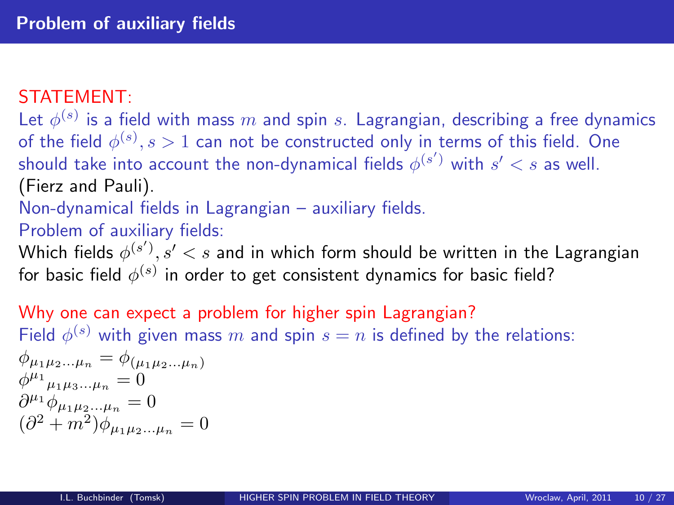#### STATEMENT:

Let  $\phi^{(s)}$  is a field with mass  $m$  and spin  $s$ . Lagrangian, describing a free dynamics of the field  $\phi^{(s)}, s>1$  can not be constructed only in terms of this field. One should take into account the non-dynamical fields  $\phi^{(s')}$  with  $s' < s$  as well. (Fierz and Pauli).

Non-dynamical fields in Lagrangian – auxiliary fields.

Problem of auxiliary fields:

Which fields  $\phi^{(s')}, s' < s$  and in which form should be written in the Lagrangian for basic field  $\phi^{(s)}$  in order to get consistent dynamics for basic field?

Why one can expect a problem for higher spin Lagrangian? Field  $\phi^{(s)}$  with given mass  $m$  and spin  $s=n$  is defined by the relations:  $\phi_{\mu_1\mu_2...\mu_n} = \phi_{(\mu_1\mu_2...\mu_n)}$  $\phi^{\mu_1}{}_{\mu_1\mu_3...\mu_n}=0$  $\partial^{\mu_1} \phi_{\mu_1 \mu_2 \dots \mu_n} = 0$  $(\partial^2 + m^2)\phi_{\mu_1\mu_2...\mu_n} = 0$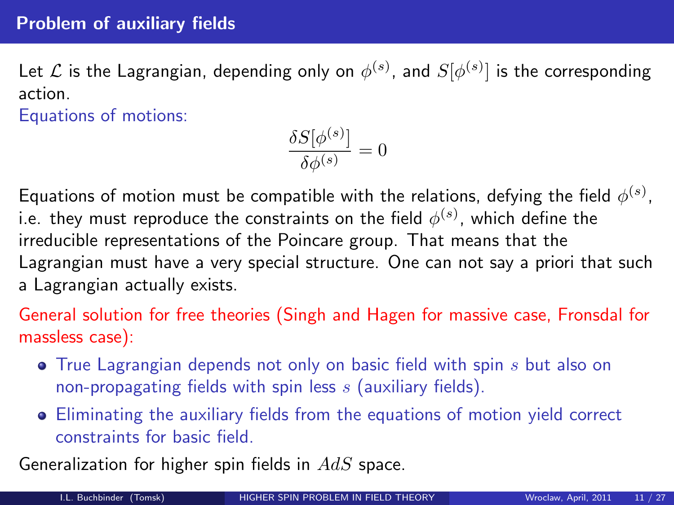#### Problem of auxiliary fields

Let  ${\cal L}$  is the Lagrangian, depending only on  $\phi^{(s)}$ , and  $S[\phi^{(s)}]$  is the corresponding action.

Equations of motions:

$$
\frac{\delta S[\phi^{(s)}]}{\delta \phi^{(s)}} = 0
$$

Equations of motion must be compatible with the relations, defying the field  $\phi^{(s)},$ i.e. they must reproduce the constraints on the field  $\phi^{(s)}$ , which define the irreducible representations of the Poincare group. That means that the Lagrangian must have a very special structure. One can not say a priori that such a Lagrangian actually exists.

General solution for free theories (Singh and Hagen for massive case, Fronsdal for massless case):

- $\bullet$  True Lagrangian depends not only on basic field with spin s but also on non-propagating fields with spin less  $s$  (auxiliary fields).
- Eliminating the auxiliary fields from the equations of motion yield correct constraints for basic field.

Generalization for higher spin fields in  $AdS$  space.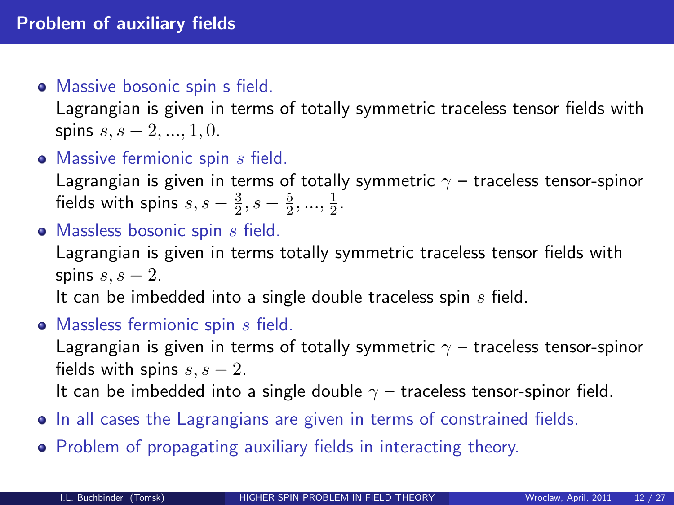#### • Massive bosonic spin s field.

Lagrangian is given in terms of totally symmetric traceless tensor fields with spins  $s, s - 2, ..., 1, 0$ .

 $\bullet$  Massive fermionic spin  $s$  field.

Lagrangian is given in terms of totally symmetric  $\gamma$  – traceless tensor-spinor fields with spins  $s, s - \frac{3}{2}, s - \frac{5}{2}, ..., \frac{1}{2}$ .

 $\bullet$  Massless bosonic spin  $s$  field.

Lagrangian is given in terms totally symmetric traceless tensor fields with spins  $s, s - 2$ .

It can be imbedded into a single double traceless spin  $s$  field.

 $\bullet$  Massless fermionic spin  $s$  field.

Lagrangian is given in terms of totally symmetric  $\gamma$  – traceless tensor-spinor fields with spins  $s, s - 2$ .

It can be imbedded into a single double  $\gamma$  – traceless tensor-spinor field.

- In all cases the Lagrangians are given in terms of constrained fields.
- Problem of propagating auxiliary fields in interacting theory.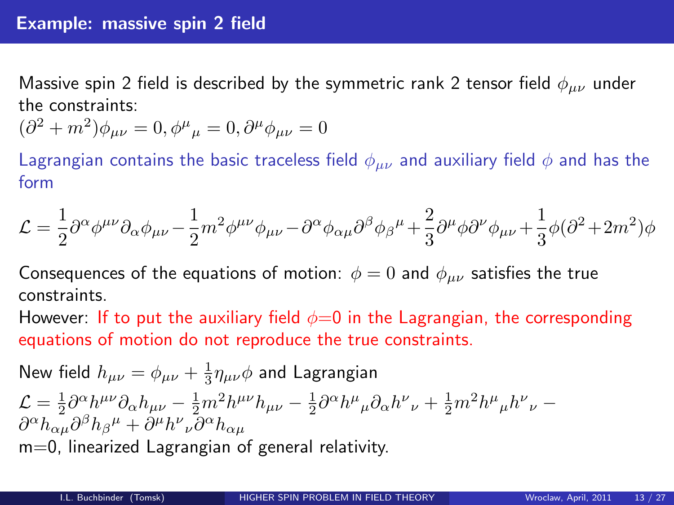Massive spin 2 field is described by the symmetric rank 2 tensor field  $\phi_{\mu\nu}$  under the constraints:

$$
(\partial^2 + m^2)\phi_{\mu\nu} = 0, \phi^{\mu}{}_{\mu} = 0, \partial^{\mu}\phi_{\mu\nu} = 0
$$

Lagrangian contains the basic traceless field  $\phi_{\mu\nu}$  and auxiliary field  $\phi$  and has the form

$$
\mathcal{L}=\frac{1}{2}\partial^{\alpha}\phi^{\mu\nu}\partial_{\alpha}\phi_{\mu\nu}-\frac{1}{2}m^2\phi^{\mu\nu}\phi_{\mu\nu}-\partial^{\alpha}\phi_{\alpha\mu}\partial^{\beta}\phi_{\beta}{}^{\mu}+\frac{2}{3}\partial^{\mu}\phi\partial^{\nu}\phi_{\mu\nu}+\frac{1}{3}\phi(\partial^2+2m^2)\phi_{\mu\nu}{}^2
$$

Consequences of the equations of motion:  $\phi = 0$  and  $\phi_{\mu\nu}$  satisfies the true constraints.

However: If to put the auxiliary field  $\phi=0$  in the Lagrangian, the corresponding equations of motion do not reproduce the true constraints.

New field 
$$
h_{\mu\nu} = \phi_{\mu\nu} + \frac{1}{3} \eta_{\mu\nu} \phi
$$
 and Lagrangian  
\n
$$
\mathcal{L} = \frac{1}{2} \partial^{\alpha} h^{\mu\nu} \partial_{\alpha} h_{\mu\nu} - \frac{1}{2} m^2 h^{\mu\nu} h_{\mu\nu} - \frac{1}{2} \partial^{\alpha} h^{\mu}{}_{\mu} \partial_{\alpha} h^{\nu}{}_{\nu} + \frac{1}{2} m^2 h^{\mu}{}_{\mu} h^{\nu}{}_{\nu} - \partial^{\alpha} h_{\alpha\mu} \partial^{\beta} h_{\beta}{}^{\mu} + \partial^{\mu} h^{\nu}{}_{\nu} \partial^{\alpha} h_{\alpha\mu}
$$
\nm=0, linearized Lagrangian of general relativity.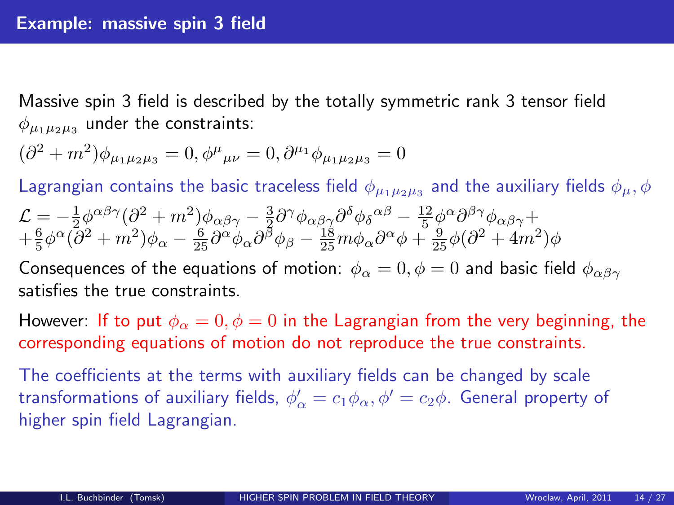Massive spin 3 field is described by the totally symmetric rank 3 tensor field  $\phi_{\mu_1\mu_2\mu_3}$  under the constraints:

$$
(\partial^2 + m^2)\phi_{\mu_1\mu_2\mu_3} = 0, \phi^{\mu}{}_{\mu\nu} = 0, \partial^{\mu_1}\phi_{\mu_1\mu_2\mu_3} = 0
$$

Lagrangian contains the basic traceless field  $\phi_{\mu_1\mu_2\mu_3}$  and the auxiliary fields  $\phi_{\mu},\phi$  $\mathcal{L}=-\frac{1}{2}\phi^{\alpha\beta\gamma}(\partial^2+m^2)\phi_{\alpha\beta\gamma}-\frac{3}{2}\partial^{\gamma}\phi_{\alpha\beta\gamma}\partial^{\delta}\phi_{\delta}{}^{\alpha\beta}-\frac{12}{5}\phi^{\alpha}\partial^{\beta\gamma}\phi_{\alpha\beta\gamma}+$  $\frac{2}{3}\pi\frac{6}{6}\phi^{\alpha}(\partial^2+m^2)\phi_{\alpha}-\frac{6}{25}\partial^{\alpha}\phi_{\alpha}\partial^{\beta}\phi_{\beta}-\frac{18}{25}m\phi_{\alpha}\partial^{\alpha}\phi+\frac{5}{25}\phi(\partial^2+4m^2)\phi_{\alpha}$ Consequences of the equations of motion:  $\phi_{\alpha} = 0, \phi = 0$  and basic field  $\phi_{\alpha\beta\gamma}$ 

satisfies the true constraints.

However: If to put  $\phi_{\alpha} = 0, \phi = 0$  in the Lagrangian from the very beginning, the corresponding equations of motion do not reproduce the true constraints.

The coefficients at the terms with auxiliary fields can be changed by scale transformations of auxiliary fields,  $\phi'_\alpha = c_1 \phi_\alpha, \phi' = c_2 \phi$ . General property of higher spin field Lagrangian.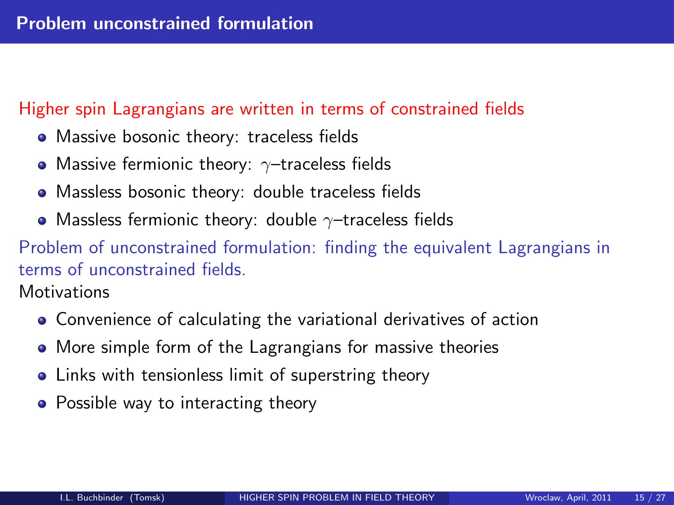#### Higher spin Lagrangians are written in terms of constrained fields

- Massive bosonic theory: traceless fields
- Massive fermionic theory:  $\gamma$ -traceless fields
- Massless bosonic theory: double traceless fields
- Massless fermionic theory: double  $\gamma$ -traceless fields

Problem of unconstrained formulation: finding the equivalent Lagrangians in terms of unconstrained fields.

**Motivations** 

- Convenience of calculating the variational derivatives of action
- More simple form of the Lagrangians for massive theories
- Links with tensionless limit of superstring theory
- Possible way to interacting theory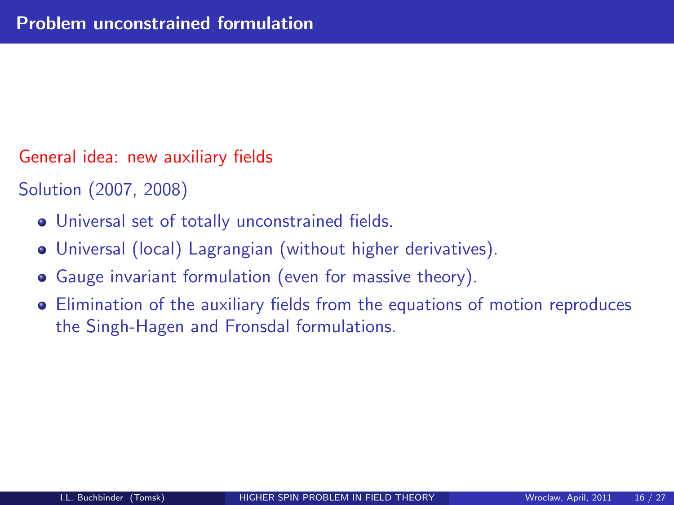General idea: new auxiliary fields

Solution (2007, 2008)

- Universal set of totally unconstrained fields.
- Universal (local) Lagrangian (without higher derivatives).
- Gauge invariant formulation (even for massive theory).
- Elimination of the auxiliary fields from the equations of motion reproduces the Singh-Hagen and Fronsdal formulations.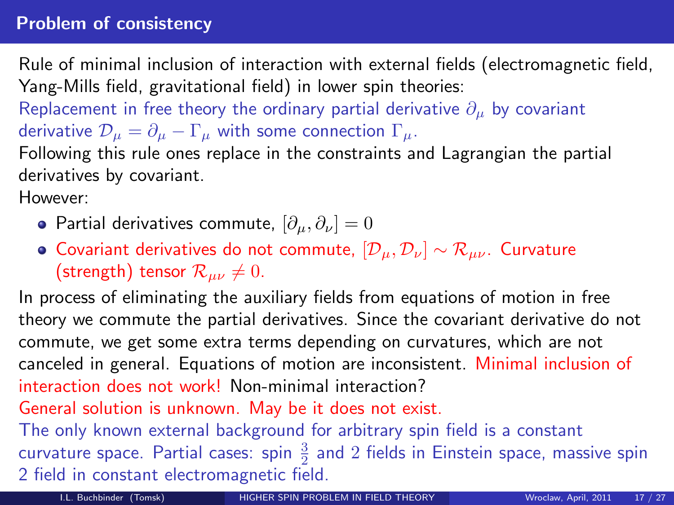#### Problem of consistency

Rule of minimal inclusion of interaction with external fields (electromagnetic field, Yang-Mills field, gravitational field) in lower spin theories:

Replacement in free theory the ordinary partial derivative  $\partial_{\mu}$  by covariant derivative  $\mathcal{D}_{\mu} = \partial_{\mu} - \Gamma_{\mu}$  with some connection  $\Gamma_{\mu}$ .

Following this rule ones replace in the constraints and Lagrangian the partial derivatives by covariant.

However:

- **•** Partial derivatives commute,  $[\partial_{\mu}, \partial_{\nu}] = 0$
- $\bullet$  Covariant derivatives do not commute,  $[\mathcal{D}_{\mu}, \mathcal{D}_{\nu}] \sim \mathcal{R}_{\mu\nu}$ . Curvature (strength) tensor  $\mathcal{R}_{\mu\nu} \neq 0$ .

In process of eliminating the auxiliary fields from equations of motion in free theory we commute the partial derivatives. Since the covariant derivative do not commute, we get some extra terms depending on curvatures, which are not canceled in general. Equations of motion are inconsistent. Minimal inclusion of interaction does not work! Non-minimal interaction?

General solution is unknown. May be it does not exist.

The only known external background for arbitrary spin field is a constant curvature space. Partial cases: spin  $\frac{3}{2}$  and  $2$  fields in Einstein space, massive spin 2 field in constant electromagnetic field.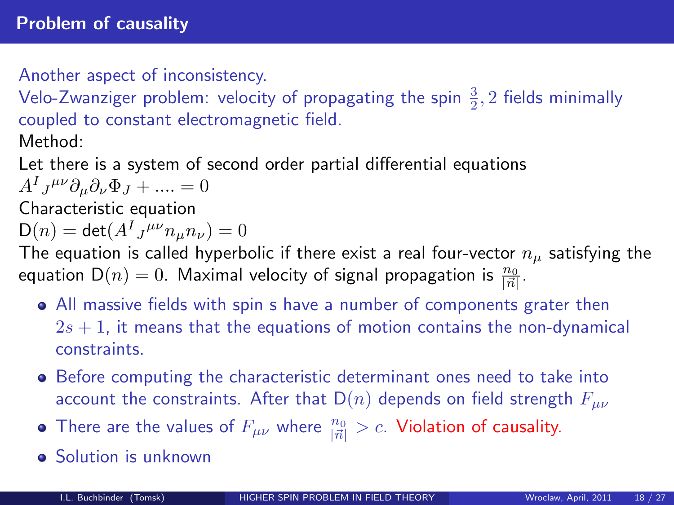Another aspect of inconsistency.

Velo-Zwanziger problem: velocity of propagating the spin  $\frac{3}{2}$ , 2 fields minimally coupled to constant electromagnetic field. Method:

Let there is a system of second order partial differential equations  $A^I{}_J{}^{\mu\nu}\partial_\mu\partial_\nu\Phi_J + \ldots = 0$ 

Characteristic equation

$$
\mathsf{D}(n) = \det(A^I{}_J{}^{\mu\nu}n_\mu n_\nu) = 0
$$

The equation is called hyperbolic if there exist a real four-vector  $n_{\mu}$  satisfying the equation  $\mathsf{D}(n)=0.$  Maximal velocity of signal propagation is  $\frac{n_0}{|\vec{n}|}.$ 

- All massive fields with spin s have a number of components grater then  $2s + 1$ , it means that the equations of motion contains the non-dynamical constraints.
- Before computing the characteristic determinant ones need to take into account the constraints. After that  $D(n)$  depends on field strength  $F_{\mu\nu}$
- There are the values of  $F_{\mu\nu}$  where  $\frac{n_0}{|\vec{n}|} > c$ . Violation of causality.
- **Solution is unknown**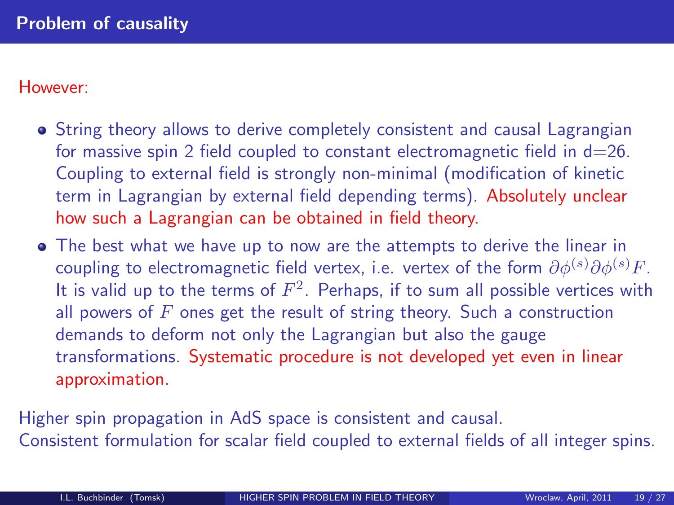#### However:

- String theory allows to derive completely consistent and causal Lagrangian for massive spin 2 field coupled to constant electromagnetic field in  $d=26$ . Coupling to external field is strongly non-minimal (modification of kinetic term in Lagrangian by external field depending terms). Absolutely unclear how such a Lagrangian can be obtained in field theory.
- The best what we have up to now are the attempts to derive the linear in coupling to electromagnetic field vertex, i.e. vertex of the form  $\partial \phi^{(s)} \partial \phi^{(s)} F$ . It is valid up to the terms of  $F^2$ . Perhaps, if to sum all possible vertices with all powers of  $F$  ones get the result of string theory. Such a construction demands to deform not only the Lagrangian but also the gauge transformations. Systematic procedure is not developed yet even in linear approximation.

Higher spin propagation in AdS space is consistent and causal. Consistent formulation for scalar field coupled to external fields of all integer spins.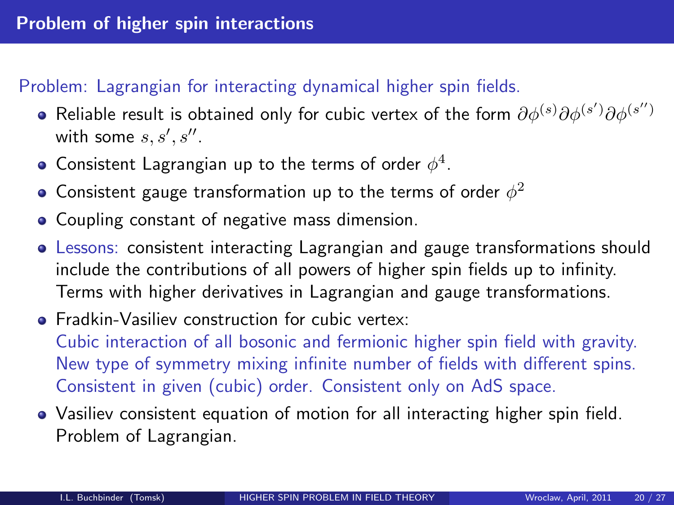## Problem: Lagrangian for interacting dynamical higher spin fields.

- Reliable result is obtained only for cubic vertex of the form  $\partial \phi^{(s)} \partial \phi^{(s')} \partial \phi^{(s'')}$ with some  $s, s', s''$ .
- Consistent Lagrangian up to the terms of order  $\phi^4$ .
- Consistent gauge transformation up to the terms of order  $\phi^2$
- Coupling constant of negative mass dimension.
- Lessons: consistent interacting Lagrangian and gauge transformations should include the contributions of all powers of higher spin fields up to infinity. Terms with higher derivatives in Lagrangian and gauge transformations.
- **•** Fradkin-Vasiliev construction for cubic vertex: Cubic interaction of all bosonic and fermionic higher spin field with gravity. New type of symmetry mixing infinite number of fields with different spins. Consistent in given (cubic) order. Consistent only on AdS space.
- Vasiliev consistent equation of motion for all interacting higher spin field. Problem of Lagrangian.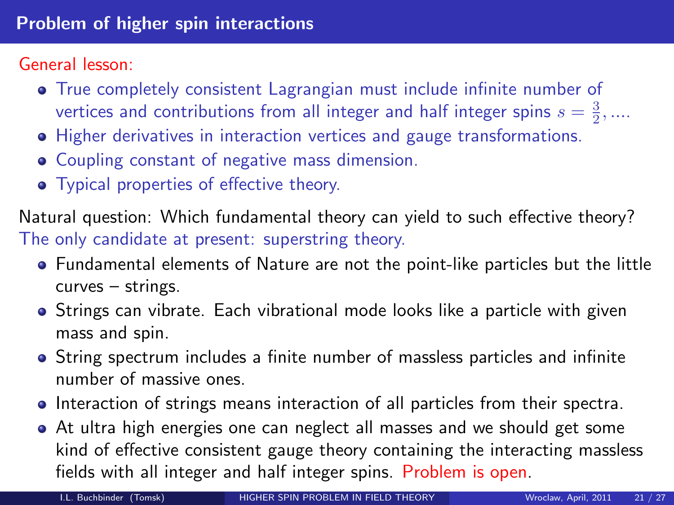General lesson:

- True completely consistent Lagrangian must include infinite number of vertices and contributions from all integer and half integer spins  $s = \frac{3}{2}, ...$
- Higher derivatives in interaction vertices and gauge transformations.
- Coupling constant of negative mass dimension.
- Typical properties of effective theory.

Natural question: Which fundamental theory can yield to such effective theory? The only candidate at present: superstring theory.

- Fundamental elements of Nature are not the point-like particles but the little curves – strings.
- **•** Strings can vibrate. Each vibrational mode looks like a particle with given mass and spin.
- String spectrum includes a finite number of massless particles and infinite number of massive ones.
- Interaction of strings means interaction of all particles from their spectra.
- At ultra high energies one can neglect all masses and we should get some kind of effective consistent gauge theory containing the interacting massless fields with all integer and half integer spins. Problem is open.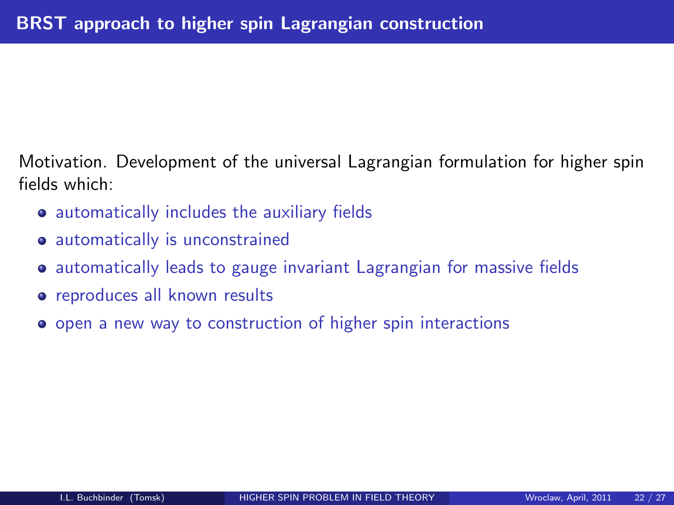Motivation. Development of the universal Lagrangian formulation for higher spin fields which:

- **•** automatically includes the auxiliary fields
- automatically is unconstrained
- **•** automatically leads to gauge invariant Lagrangian for massive fields
- **•** reproduces all known results
- **•** open a new way to construction of higher spin interactions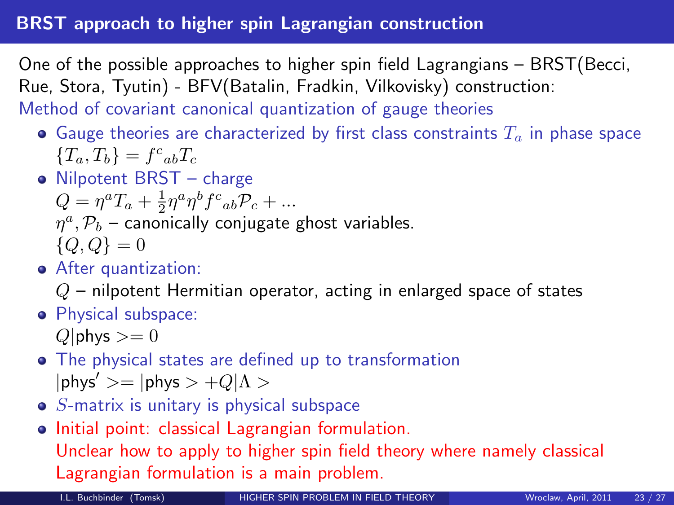#### BRST approach to higher spin Lagrangian construction

One of the possible approaches to higher spin field Lagrangians – BRST(Becci, Rue, Stora, Tyutin) - BFV(Batalin, Fradkin, Vilkovisky) construction: Method of covariant canonical quantization of gauge theories

- Gauge theories are characterized by first class constraints  $T_a$  in phase space  ${T_a, T_b} = f^c{}_{ab}T_c$
- Nilpotent BRST charge

$$
Q = \eta^a T_a + \frac{1}{2} \eta^a \eta^b f^c_{ab} P_c + \dots
$$
  

$$
\eta^a, \mathcal{P}_b
$$
 – canonically conjugate ghost variables.  

$$
\{Q, Q\} = 0
$$

After quantization:

 $Q$  – nilpotent Hermitian operator, acting in enlarged space of states

**•** Physical subspace:

 $Q|$ phys  $>= 0$ 

- The physical states are defined up to transformation  $|{\sf phys}'>=|{\sf phys} > +Q|\Lambda>$
- $\bullet$  S-matrix is unitary is physical subspace
- Initial point: classical Lagrangian formulation. Unclear how to apply to higher spin field theory where namely classical Lagrangian formulation is a main problem.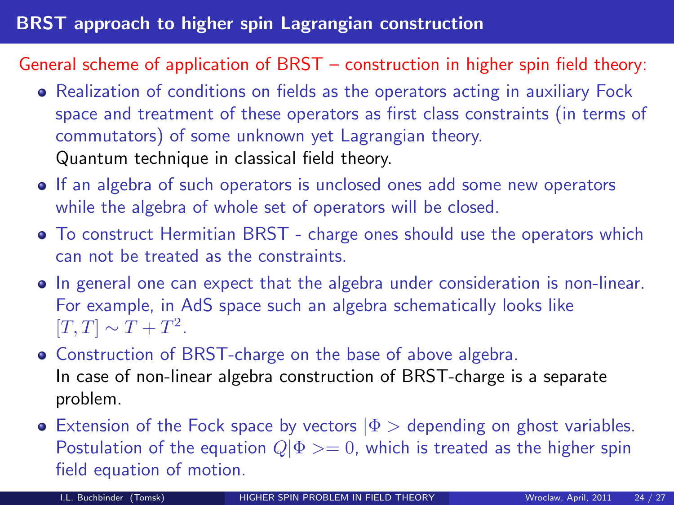### General scheme of application of BRST – construction in higher spin field theory:

- Realization of conditions on fields as the operators acting in auxiliary Fock space and treatment of these operators as first class constraints (in terms of commutators) of some unknown yet Lagrangian theory. Quantum technique in classical field theory.
- If an algebra of such operators is unclosed ones add some new operators while the algebra of whole set of operators will be closed.
- To construct Hermitian BRST charge ones should use the operators which can not be treated as the constraints.
- In general one can expect that the algebra under consideration is non-linear. For example, in AdS space such an algebra schematically looks like  $[T, T] \sim T + T^2$ .
- Construction of BRST-charge on the base of above algebra. In case of non-linear algebra construction of BRST-charge is a separate problem.
- **Extension of the Fock space by vectors**  $|\Phi\rangle$  **depending on ghost variables.** Postulation of the equation  $Q|\Phi>=0$ , which is treated as the higher spin field equation of motion.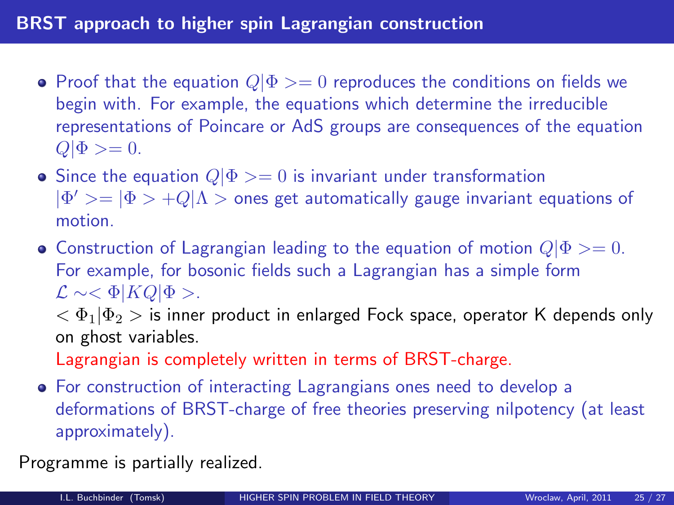- Proof that the equation  $Q|\Phi>=0$  reproduces the conditions on fields we begin with. For example, the equations which determine the irreducible representations of Poincare or AdS groups are consequences of the equation  $Q|\Phi>=0.$
- Since the equation  $Q|\Phi>=0$  is invariant under transformation  $|\Phi'\!\rangle=|\Phi\rangle+Q|\Lambda\rangle$  ones get automatically gauge invariant equations of motion.
- Construction of Lagrangian leading to the equation of motion  $Q|\Phi>=0$ . For example, for bosonic fields such a Lagrangian has a simple form  $\mathcal{L} \sim <\Phi$ |KQ| $\Phi$  >.

 $<\Phi_1|\Phi_2>$  is inner product in enlarged Fock space, operator K depends only on ghost variables.

Lagrangian is completely written in terms of BRST-charge.

For construction of interacting Lagrangians ones need to develop a deformations of BRST-charge of free theories preserving nilpotency (at least approximately).

Programme is partially realized.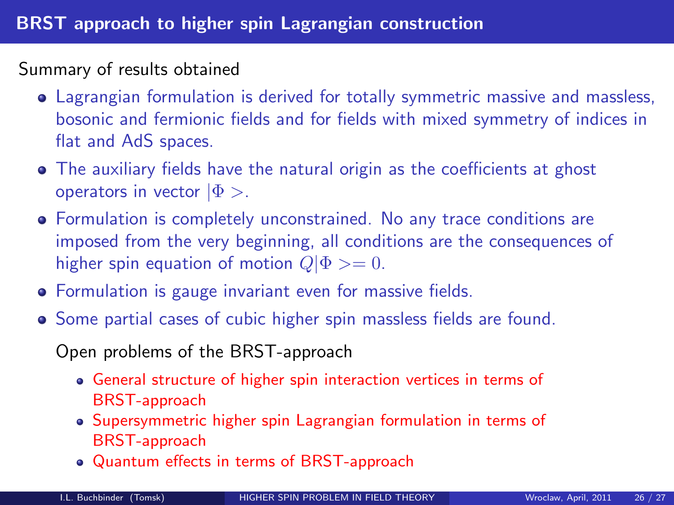#### Summary of results obtained

- Lagrangian formulation is derived for totally symmetric massive and massless, bosonic and fermionic fields and for fields with mixed symmetry of indices in flat and AdS spaces.
- The auxiliary fields have the natural origin as the coefficients at ghost operators in vector  $|\Phi\rangle$ .
- Formulation is completely unconstrained. No any trace conditions are imposed from the very beginning, all conditions are the consequences of higher spin equation of motion  $Q|\Phi\rangle = 0$ .
- **•** Formulation is gauge invariant even for massive fields.
- Some partial cases of cubic higher spin massless fields are found.

Open problems of the BRST-approach

- General structure of higher spin interaction vertices in terms of BRST-approach
- Supersymmetric higher spin Lagrangian formulation in terms of BRST-approach
- Quantum effects in terms of BRST-approach